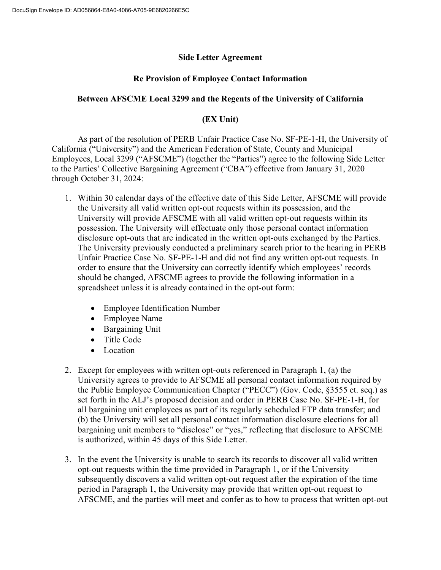## **Side Letter Agreement**

## **Re Provision of Employee Contact Information**

## **Between AFSCME Local 3299 and the Regents of the University of California**

## **(EX Unit)**

 As part of the resolution of PERB Unfair Practice Case No. SF-PE-1-H, the University of California ("University") and the American Federation of State, County and Municipal Employees, Local 3299 ("AFSCME") (together the "Parties") agree to the following Side Letter to the Parties' Collective Bargaining Agreement ("CBA") effective from January 31, 2020 through October 31, 2024:

- 1. Within 30 calendar days of the effective date of this Side Letter, AFSCME will provide the University all valid written opt-out requests within its possession, and the University will provide AFSCME with all valid written opt-out requests within its possession. The University will effectuate only those personal contact information disclosure opt-outs that are indicated in the written opt-outs exchanged by the Parties. The University previously conducted a preliminary search prior to the hearing in PERB Unfair Practice Case No. SF-PE-1-H and did not find any written opt-out requests. In order to ensure that the University can correctly identify which employees' records should be changed, AFSCME agrees to provide the following information in a spreadsheet unless it is already contained in the opt-out form:
	- Employee Identification Number
	- Employee Name
	- Bargaining Unit
	- Title Code
	- Location
- 2. Except for employees with written opt-outs referenced in Paragraph 1, (a) the University agrees to provide to AFSCME all personal contact information required by the Public Employee Communication Chapter ("PECC") (Gov. Code, §3555 et. seq.) as set forth in the ALJ's proposed decision and order in PERB Case No. SF-PE-1-H, for all bargaining unit employees as part of its regularly scheduled FTP data transfer; and (b) the University will set all personal contact information disclosure elections for all bargaining unit members to "disclose" or "yes," reflecting that disclosure to AFSCME is authorized, within 45 days of this Side Letter.
- 3. In the event the University is unable to search its records to discover all valid written opt-out requests within the time provided in Paragraph 1, or if the University subsequently discovers a valid written opt-out request after the expiration of the time period in Paragraph 1, the University may provide that written opt-out request to AFSCME, and the parties will meet and confer as to how to process that written opt-out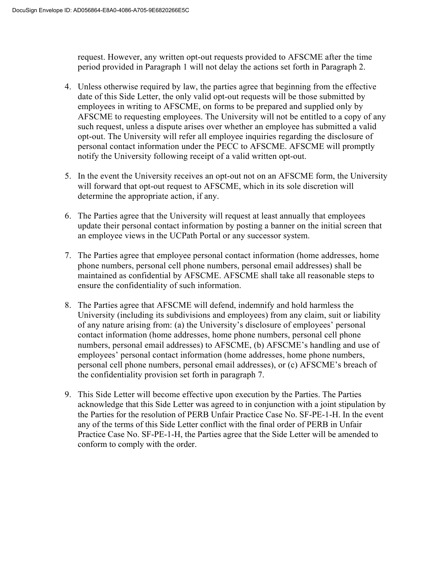request. However, any written opt-out requests provided to AFSCME after the time period provided in Paragraph 1 will not delay the actions set forth in Paragraph 2.

- 4. Unless otherwise required by law, the parties agree that beginning from the effective date of this Side Letter, the only valid opt-out requests will be those submitted by employees in writing to AFSCME, on forms to be prepared and supplied only by AFSCME to requesting employees. The University will not be entitled to a copy of any such request, unless a dispute arises over whether an employee has submitted a valid opt-out. The University will refer all employee inquiries regarding the disclosure of personal contact information under the PECC to AFSCME. AFSCME will promptly notify the University following receipt of a valid written opt-out.
- 5. In the event the University receives an opt-out not on an AFSCME form, the University will forward that opt-out request to AFSCME, which in its sole discretion will determine the appropriate action, if any.
- 6. The Parties agree that the University will request at least annually that employees update their personal contact information by posting a banner on the initial screen that an employee views in the UCPath Portal or any successor system.
- 7. The Parties agree that employee personal contact information (home addresses, home phone numbers, personal cell phone numbers, personal email addresses) shall be maintained as confidential by AFSCME. AFSCME shall take all reasonable steps to ensure the confidentiality of such information.
- 8. The Parties agree that AFSCME will defend, indemnify and hold harmless the University (including its subdivisions and employees) from any claim, suit or liability of any nature arising from: (a) the University's disclosure of employees' personal contact information (home addresses, home phone numbers, personal cell phone numbers, personal email addresses) to AFSCME, (b) AFSCME's handling and use of employees' personal contact information (home addresses, home phone numbers, personal cell phone numbers, personal email addresses), or (c) AFSCME's breach of the confidentiality provision set forth in paragraph 7.
- 9. This Side Letter will become effective upon execution by the Parties. The Parties acknowledge that this Side Letter was agreed to in conjunction with a joint stipulation by the Parties for the resolution of PERB Unfair Practice Case No. SF-PE-1-H. In the event any of the terms of this Side Letter conflict with the final order of PERB in Unfair Practice Case No. SF-PE-1-H, the Parties agree that the Side Letter will be amended to conform to comply with the order.